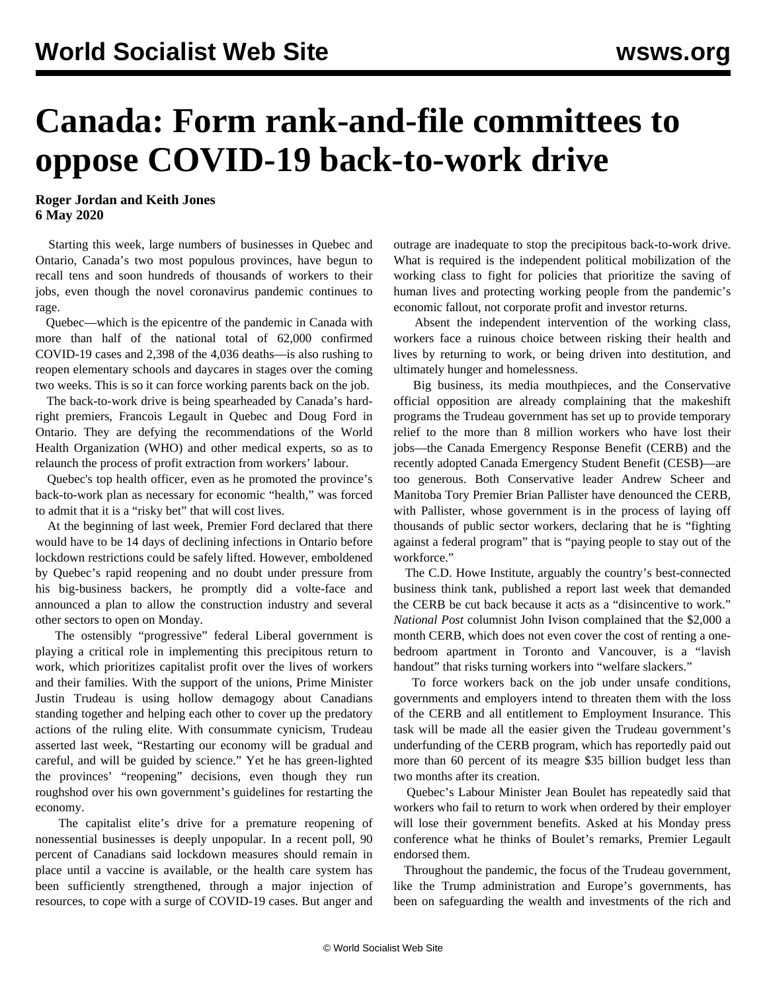## **Canada: Form rank-and-file committees to oppose COVID-19 back-to-work drive**

**Roger Jordan and Keith Jones 6 May 2020**

 Starting this week, large numbers of businesses in Quebec and Ontario, Canada's two most populous provinces, have begun to recall tens and soon hundreds of thousands of workers to their jobs, even though the novel coronavirus pandemic continues to rage.

 Quebec—which is the epicentre of the pandemic in Canada with more than half of the national total of 62,000 confirmed COVID-19 cases and 2,398 of the 4,036 deaths—is also rushing to reopen elementary schools and daycares in stages over the coming two weeks. This is so it can force working parents back on the job.

 The back-to-work drive is being spearheaded by Canada's hardright premiers, Francois Legault in Quebec and Doug Ford in Ontario. They are defying the recommendations of the World Health Organization (WHO) and other medical experts, so as to relaunch the process of profit extraction from workers' labour.

 Quebec's top health officer, even as he promoted the province's back-to-work plan as necessary for economic "health," was forced to admit that it is a "risky bet" that will cost lives.

 At the beginning of last week, Premier Ford declared that there would have to be 14 days of declining infections in Ontario before lockdown restrictions could be safely lifted. However, emboldened by Quebec's rapid reopening and no doubt under pressure from his big-business backers, he promptly did a volte-face and announced a plan to allow the construction industry and several other sectors to open on Monday.

 The ostensibly "progressive" federal Liberal government is playing a critical role in implementing this precipitous return to work, which prioritizes capitalist profit over the lives of workers and their families. With the support of the unions, Prime Minister Justin Trudeau is using hollow demagogy about Canadians standing together and helping each other to cover up the predatory actions of the ruling elite. With consummate cynicism, Trudeau asserted last week, "Restarting our economy will be gradual and careful, and will be guided by science." Yet he has green-lighted the provinces' "reopening" decisions, even though they run roughshod over his own government's guidelines for restarting the economy.

 The capitalist elite's drive for a premature reopening of nonessential businesses is deeply unpopular. In a recent poll, 90 percent of Canadians said lockdown measures should remain in place until a vaccine is available, or the health care system has been sufficiently strengthened, through a major injection of resources, to cope with a surge of COVID-19 cases. But anger and outrage are inadequate to stop the precipitous back-to-work drive. What is required is the independent political mobilization of the working class to fight for policies that prioritize the saving of human lives and protecting working people from the pandemic's economic fallout, not corporate profit and investor returns.

 Absent the independent intervention of the working class, workers face a ruinous choice between risking their health and lives by returning to work, or being driven into destitution, and ultimately hunger and homelessness.

 Big business, its media mouthpieces, and the Conservative official opposition are already complaining that the makeshift programs the Trudeau government has set up to provide temporary relief to the more than 8 million workers who have lost their jobs—the Canada Emergency Response Benefit (CERB) and the recently adopted Canada Emergency Student Benefit (CESB)—are too generous. Both Conservative leader Andrew Scheer and Manitoba Tory Premier Brian Pallister have denounced the CERB, with Pallister, whose government is in the process of laying off thousands of public sector workers, declaring that he is "fighting against a federal program" that is "paying people to stay out of the workforce."

 The C.D. Howe Institute, arguably the country's best-connected business think tank, published a report last week that demanded the CERB be cut back because it acts as a "disincentive to work." *National Post* columnist John Ivison complained that the \$2,000 a month CERB, which does not even cover the cost of renting a onebedroom apartment in Toronto and Vancouver, is a "lavish handout" that risks turning workers into "welfare slackers."

 To force workers back on the job under unsafe conditions, governments and employers intend to threaten them with the loss of the CERB and all entitlement to Employment Insurance. This task will be made all the easier given the Trudeau government's underfunding of the CERB program, which has reportedly paid out more than 60 percent of its meagre \$35 billion budget less than two months after its creation.

 Quebec's Labour Minister Jean Boulet has repeatedly said that workers who fail to return to work when ordered by their employer will lose their government benefits. Asked at his Monday press conference what he thinks of Boulet's remarks, Premier Legault endorsed them.

 Throughout the pandemic, the focus of the Trudeau government, like the Trump administration and Europe's governments, has been on safeguarding the wealth and investments of the rich and